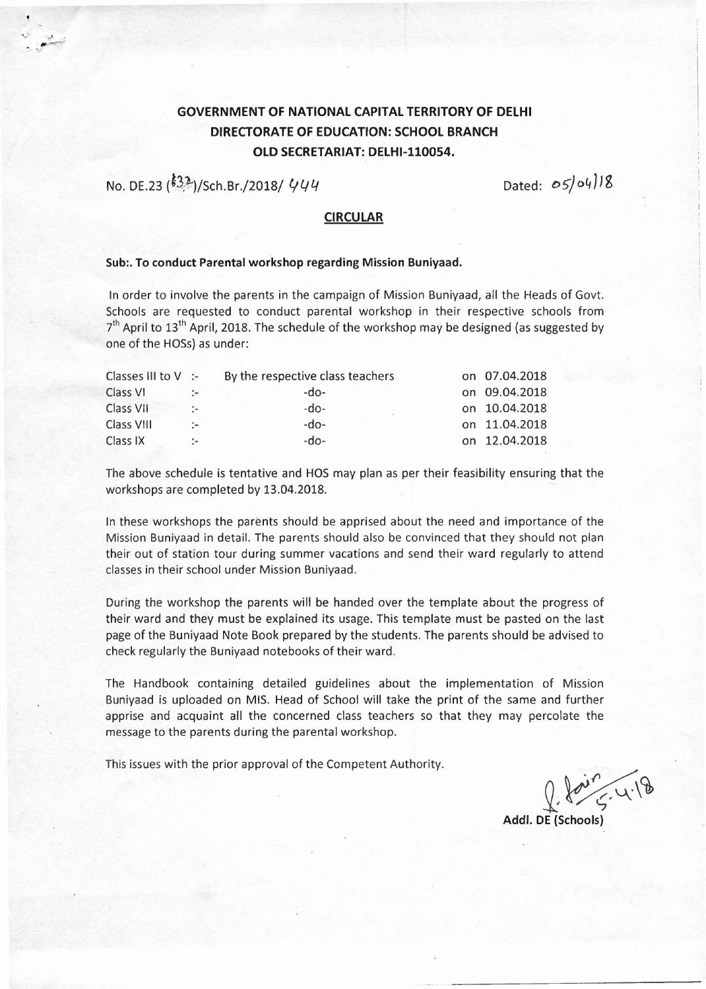## GOVERNMENT OF NATIONAL CAPITAL TERRITORY OF DElHI DIRECTORATE OF EDUCATION: SCHOOL BRANCH OLD SECRETARIAT: DELHI-110054.

No. DE.23 (<sup> $\cancel{(32)}$ </sup>)/Sch.Br./2018/ *'144* Dated: 05/04/18

## CIRCULAR

## Sub:. To conduct Parental workshop regarding Mission Buniyaad.

In order to involve the parents in the campaign of Mission Buniyaad, all the Heads of Govt. Schools are requested to conduct parental workshop in their respective schools from Schools are requested to conduct parental workshop in their respective schools from<br>7<sup>th</sup> April to 13<sup>th</sup> April, 2018. The schedule of the workshop may be designed (as suggested by one of the HOSs) as under:

| Classes III to $V$ : |                         | By the respective class teachers | on 07.04.2018 |
|----------------------|-------------------------|----------------------------------|---------------|
| Class VI             |                         | -do-                             | on 09.04.2018 |
| Class VII            | $\cdot$ $\cdot$ $\cdot$ | -do-                             | on 10.04.2018 |
| <b>Class VIII</b>    | $\sim$                  | $-do-$                           | on 11.04.2018 |
| Class IX             |                         | -do-                             | on 12.04.2018 |

The above schedule is tentative and HOS may plan as per their feasibility ensuring that the workshops are completed by 13.04.2018.

In these workshops the parents should be apprised about the need and importance of the Mission Buniyaad in detail. The parents should also be convinced that they should not plan their out of station tour during summer vacations and send their ward regularly to attend classesin their school under Mission Buniyaad.

During the workshop the parents will be handed over the template about the progress of their ward and they must be explained its usage. This template must be pasted on the last page of the Buniyaad Note Book prepared by the students. The parents should be advised to check regularly the Buniyaad notebooks of their ward.

The Handbook containing detailed guidelines about the implementation of Mission Buniyaad is uploaded on MIS. Head of School will take the print of the same and further apprise and acquaint all the concerned class teachers so that they may percolate the message to the parents during the parental workshop.

This issues with the prior approval of the Competent Authority.

 $2.805.4.1$ 

Addl. DE(Schools)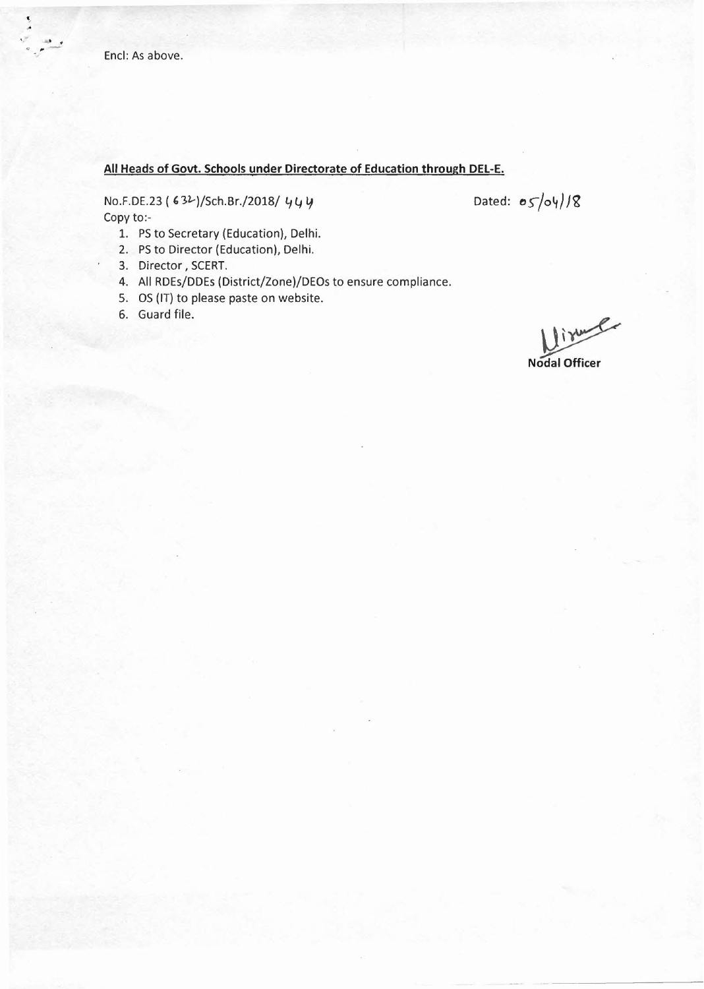## **All Heads of Govt. Schools under Directorate of Education through DEL-E.**

No.F.DE.23 (63<sup>2</sup>)/Sch.Br./2018/ 444 Copy to:-

Dated:  $\sigma$ *S/oy*//8

- 1. PS to Secretary (Education), Delhi.
- 2. PSto Director (Education), Delhi.
- 3. Director, SCERT.
- 4. **All** RDEs/DDEs (District/Zone)/DEOs to ensure compliance.
- 5. OS (IT) to please paste on website.
- 6. Guard file.

lime

~ **Nodal Officer**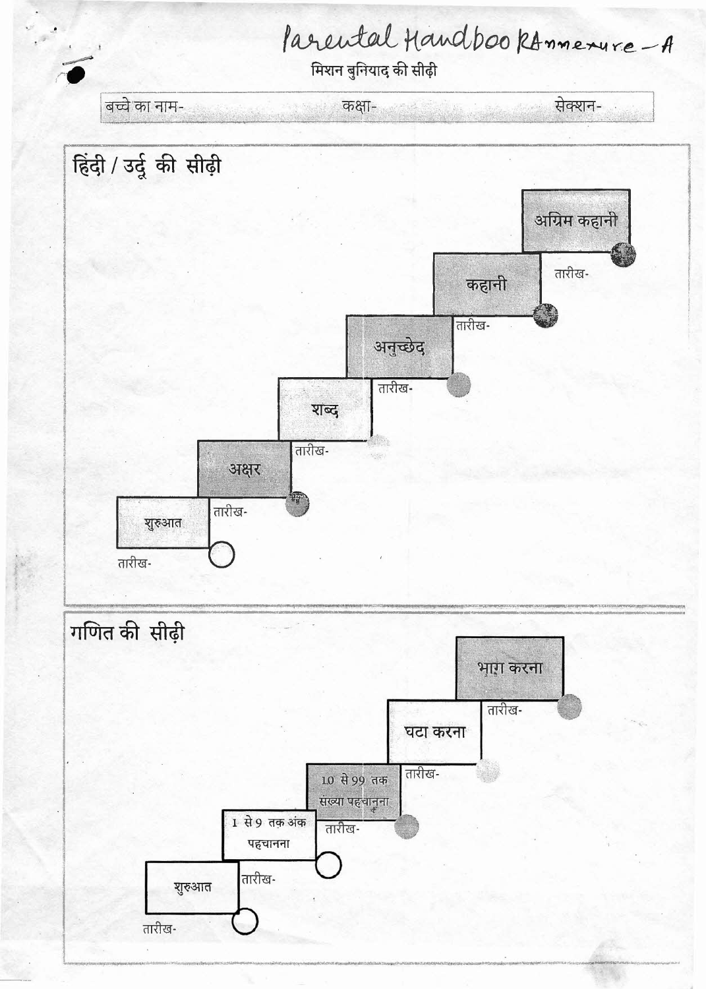



तारीख-शुरुआत तारीख-